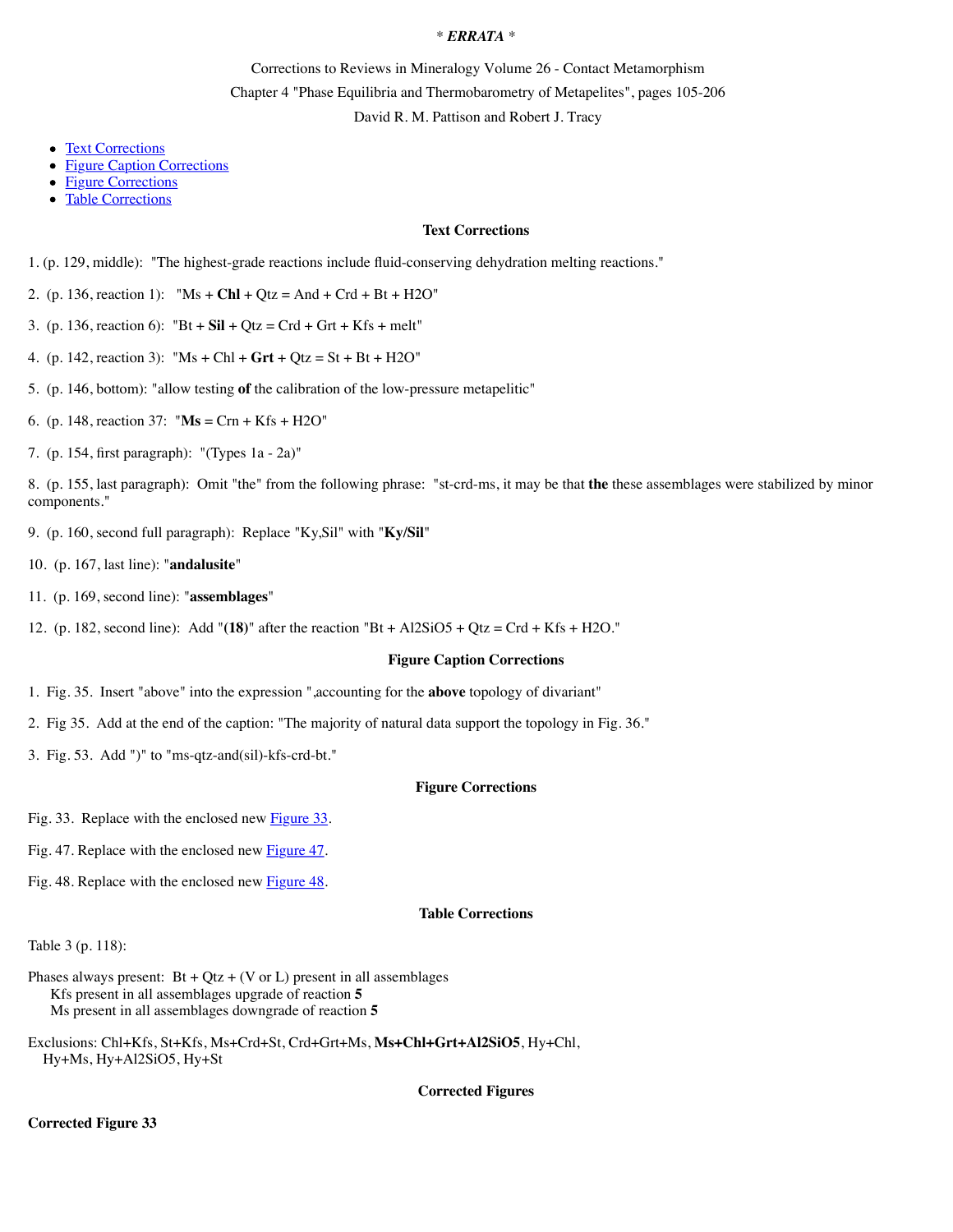# \* *ERRATA* \*

Corrections to Reviews in Mineralogy Volume 26 - Contact Metamorphism Chapter 4 "Phase Equilibria and Thermobarometry of Metapelites", pages 105-206 David R. M. Pattison and Robert J. Tracy

- [Text Corrections](http://www.minsocam.org/msa/RIM/RiM026/RiM026c4errata.html#Text%20Corrections)
- [Figure Caption Corrections](http://www.minsocam.org/msa/RIM/RiM026/RiM026c4errata.html#Figure%20Caption%20Corrections)
- [Figure Corrections](http://www.minsocam.org/msa/RIM/RiM026/RiM026c4errata.html#Figure%20Corrections)
- [Table Corrections](http://www.minsocam.org/msa/RIM/RiM026/RiM026c4errata.html#Table%20Corrections)

## **Text Corrections**

1. (p. 129, middle): "The highest-grade reactions include fluid-conserving dehydration melting reactions."

- 2. (p. 136, reaction 1): "Ms + **Chl** + Qtz = And + Crd + Bt + H2O"
- 3. (p. 136, reaction 6):  $"Bt + Sil + Qtz = Crd + Grt + Kfs + melt"$
- 4. (p. 142, reaction 3): "Ms + Chl + **Grt** + Qtz = St + Bt + H2O"
- 5. (p. 146, bottom): "allow testing **of** the calibration of the low-pressure metapelitic"
- 6. (p. 148, reaction 37: "**Ms** = Crn + Kfs + H2O"
- 7. (p. 154, first paragraph): "(Types 1a 2a)"

8. (p. 155, last paragraph): Omit "the" from the following phrase: "st-crd-ms, it may be that **the** these assemblages were stabilized by minor components."

- 9. (p. 160, second full paragraph): Replace "Ky,Sil" with "**Ky/Sil**"
- 10. (p. 167, last line): "**andalusite**"
- 11. (p. 169, second line): "**assemblages**"
- 12. (p. 182, second line): Add "**(18)**" after the reaction "Bt + Al2SiO5 + Qtz = Crd + Kfs + H2O."

### **Figure Caption Corrections**

- 1. Fig. 35. Insert "above" into the expression ",accounting for the **above** topology of divariant"
- 2. Fig 35. Add at the end of the caption: "The majority of natural data support the topology in Fig. 36."
- 3. Fig. 53. Add ")" to "ms-qtz-and(sil)-kfs-crd-bt."

#### **Figure Corrections**

Fig. 33. Replace with the enclosed new **Figure 33**.

Fig. 47. Replace with the enclosed new [Figure 47.](http://www.minsocam.org/msa/RIM/RiM026/RiM026c4errata.html#Corrected%20Figure%2047)

Fig. 48. Replace with the enclosed new [Figure 48.](http://www.minsocam.org/msa/RIM/RiM026/RiM026c4errata.html#Corrected%20Figure%2048)

## **Table Corrections**

Table 3 (p. 118):

- Phases always present:  $Bt + Qt + (V \text{ or } L)$  present in all assemblages Kfs present in all assemblages upgrade of reaction **5** Ms present in all assemblages downgrade of reaction **5**
- Exclusions: Chl+Kfs, St+Kfs, Ms+Crd+St, Crd+Grt+Ms, **Ms+Chl+Grt+Al2SiO5**, Hy+Chl, Hy+Ms, Hy+Al2SiO5, Hy+St

**Corrected Figures**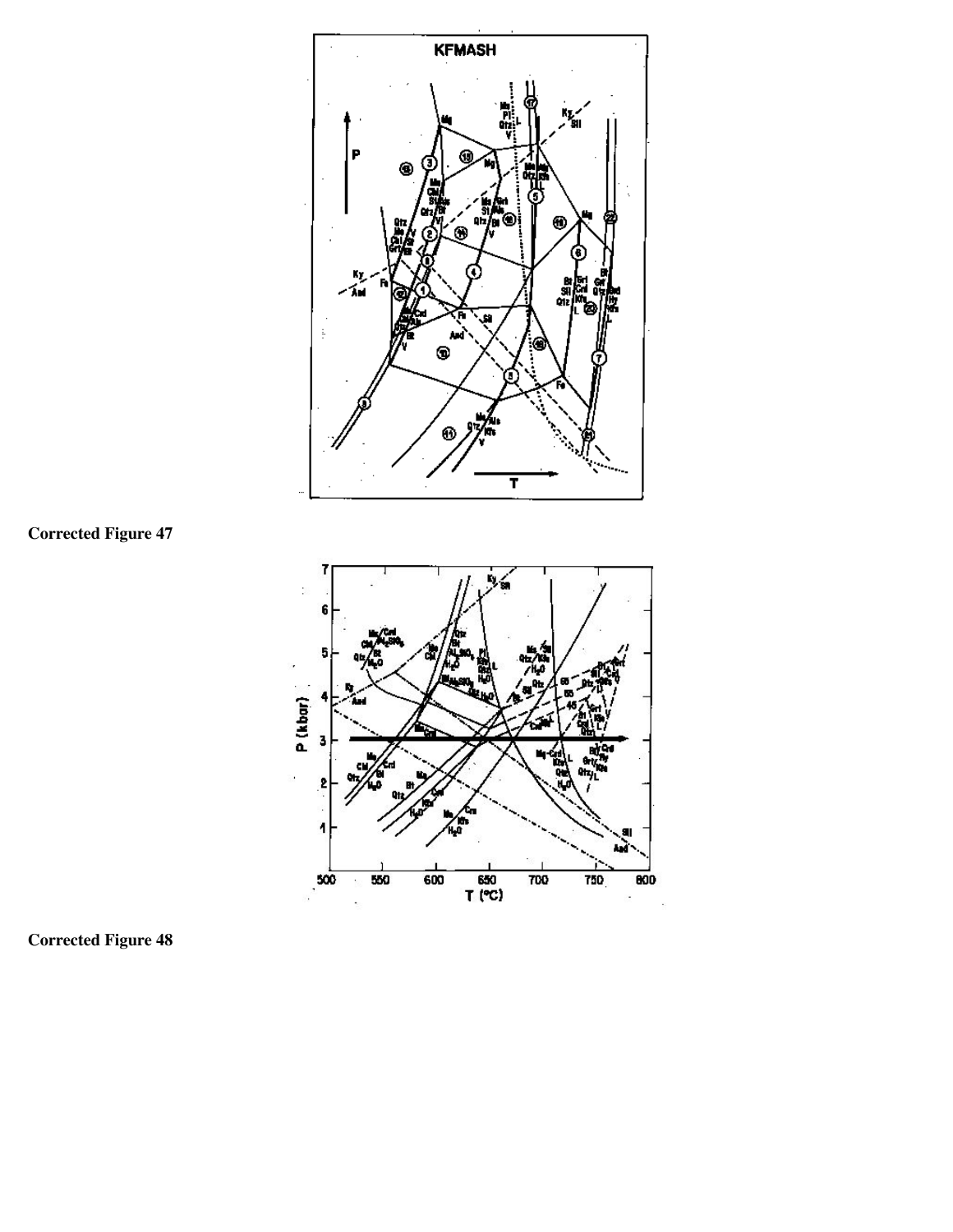

**Corrected Figure 47**



**Corrected Figure 48**